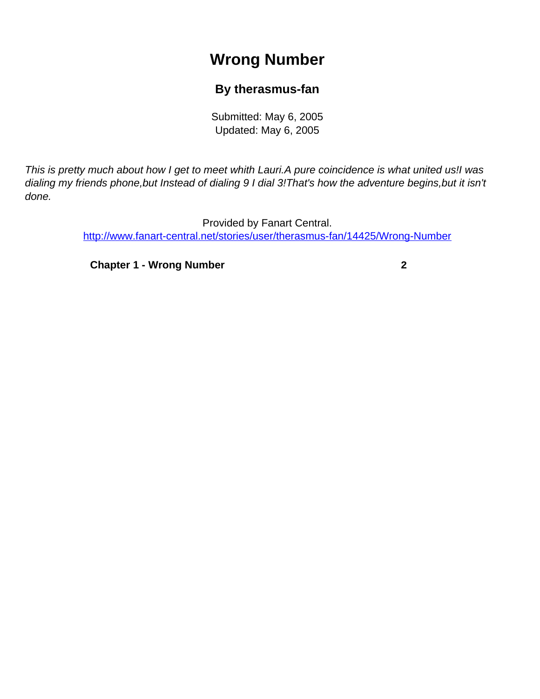# **Wrong Number**

### **By therasmus-fan**

Submitted: May 6, 2005 Updated: May 6, 2005

<span id="page-0-0"></span>This is pretty much about how I get to meet whith Lauri.A pure coincidence is what united us!I was dialing my friends phone,but Instead of dialing 9 I dial 3!That's how the adventure begins,but it isn't done.

> Provided by Fanart Central. [http://www.fanart-central.net/stories/user/therasmus-fan/14425/Wrong-Number](#page-0-0)

**[Chapter 1 - Wrong Number](#page-1-0) [2](#page-1-0)**